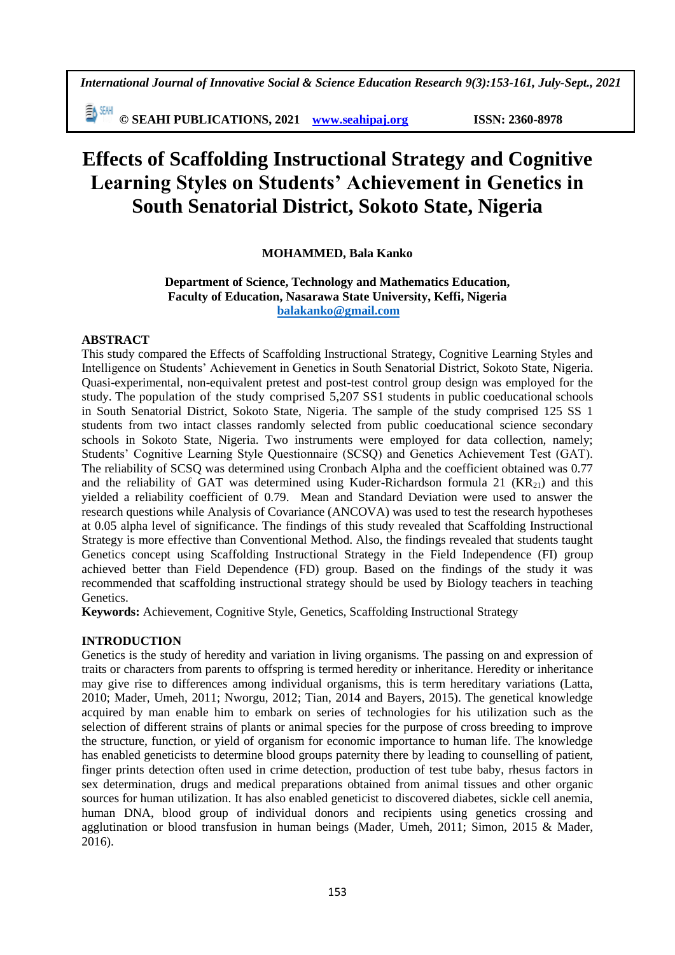**© SEAHI PUBLICATIONS, 2021 [www.seahipaj.org](http://www.seahipaj.org/) ISSN: 2360-8978**

# **Effects of Scaffolding Instructional Strategy and Cognitive Learning Styles on Students' Achievement in Genetics in South Senatorial District, Sokoto State, Nigeria**

# **MOHAMMED, Bala Kanko**

## **Department of Science, Technology and Mathematics Education, Faculty of Education, Nasarawa State University, Keffi, Nigeria [balakanko@gmail.com](mailto:balakanko@gmail.com)**

# **ABSTRACT**

This study compared the Effects of Scaffolding Instructional Strategy, Cognitive Learning Styles and Intelligence on Students' Achievement in Genetics in South Senatorial District, Sokoto State, Nigeria. Quasi-experimental, non-equivalent pretest and post-test control group design was employed for the study. The population of the study comprised 5,207 SS1 students in public coeducational schools in South Senatorial District, Sokoto State, Nigeria. The sample of the study comprised 125 SS 1 students from two intact classes randomly selected from public coeducational science secondary schools in Sokoto State, Nigeria. Two instruments were employed for data collection, namely; Students' Cognitive Learning Style Questionnaire (SCSQ) and Genetics Achievement Test (GAT). The reliability of SCSQ was determined using Cronbach Alpha and the coefficient obtained was 0.77 and the reliability of GAT was determined using Kuder-Richardson formula 21  $(KR_{21})$  and this yielded a reliability coefficient of 0.79. Mean and Standard Deviation were used to answer the research questions while Analysis of Covariance (ANCOVA) was used to test the research hypotheses at 0.05 alpha level of significance. The findings of this study revealed that Scaffolding Instructional Strategy is more effective than Conventional Method. Also, the findings revealed that students taught Genetics concept using Scaffolding Instructional Strategy in the Field Independence (FI) group achieved better than Field Dependence (FD) group. Based on the findings of the study it was recommended that scaffolding instructional strategy should be used by Biology teachers in teaching Genetics.

**Keywords:** Achievement, Cognitive Style, Genetics, Scaffolding Instructional Strategy

# **INTRODUCTION**

Genetics is the study of heredity and variation in living organisms. The passing on and expression of traits or characters from parents to offspring is termed heredity or inheritance. Heredity or inheritance may give rise to differences among individual organisms, this is term hereditary variations (Latta, 2010; Mader, Umeh, 2011; Nworgu, 2012; Tian, 2014 and Bayers, 2015). The genetical knowledge acquired by man enable him to embark on series of technologies for his utilization such as the selection of different strains of plants or animal species for the purpose of cross breeding to improve the structure, function, or yield of organism for economic importance to human life. The knowledge has enabled geneticists to determine blood groups paternity there by leading to counselling of patient, finger prints detection often used in crime detection, production of test tube baby, rhesus factors in sex determination, drugs and medical preparations obtained from animal tissues and other organic sources for human utilization. It has also enabled geneticist to discovered diabetes, sickle cell anemia, human DNA, blood group of individual donors and recipients using genetics crossing and agglutination or blood transfusion in human beings (Mader, Umeh, 2011; Simon, 2015 & Mader, 2016).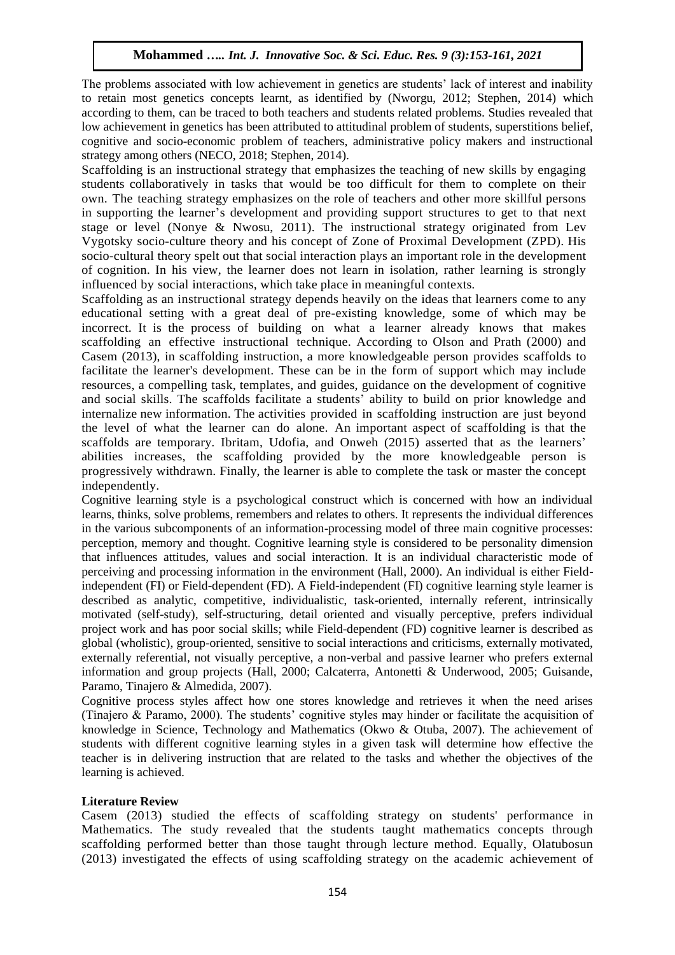The problems associated with low achievement in genetics are students' lack of interest and inability to retain most genetics concepts learnt, as identified by (Nworgu, 2012; Stephen, 2014) which according to them, can be traced to both teachers and students related problems. Studies revealed that low achievement in genetics has been attributed to attitudinal problem of students, superstitions belief, cognitive and socio-economic problem of teachers, administrative policy makers and instructional strategy among others (NECO, 2018; Stephen, 2014).

Scaffolding is an instructional strategy that emphasizes the teaching of new skills by engaging students collaboratively in tasks that would be too difficult for them to complete on their own. The teaching strategy emphasizes on the role of teachers and other more skillful persons in supporting the learner's development and providing support structures to get to that next stage or level (Nonye & Nwosu, 2011). The instructional strategy originated from Lev Vygotsky socio-culture theory and his concept of Zone of Proximal Development (ZPD). His socio-cultural theory spelt out that social interaction plays an important role in the development of cognition. In his view, the learner does not learn in isolation, rather learning is strongly influenced by social interactions, which take place in meaningful contexts.

Scaffolding as an instructional strategy depends heavily on the ideas that learners come to any educational setting with a great deal of pre-existing knowledge, some of which may be incorrect. It is the process of building on what a learner already knows that makes scaffolding an effective instructional technique. According to Olson and Prath (2000) and Casem (2013), in scaffolding instruction, a more knowledgeable person provides scaffolds to facilitate the learner's development. These can be in the form of support which may include resources, a compelling task, templates, and guides, guidance on the development of cognitive and social skills. The scaffolds facilitate a students' ability to build on prior knowledge and internalize new information. The activities provided in scaffolding instruction are just beyond the level of what the learner can do alone. An important aspect of scaffolding is that the scaffolds are temporary. Ibritam, Udofia, and Onweh (2015) asserted that as the learners' abilities increases, the scaffolding provided by the more knowledgeable person is progressively withdrawn. Finally, the learner is able to complete the task or master the concept independently.

Cognitive learning style is a psychological construct which is concerned with how an individual learns, thinks, solve problems, remembers and relates to others. It represents the individual differences in the various subcomponents of an information-processing model of three main cognitive processes: perception, memory and thought. Cognitive learning style is considered to be personality dimension that influences attitudes, values and social interaction. It is an individual characteristic mode of perceiving and processing information in the environment (Hall, 2000). An individual is either Fieldindependent (FI) or Field-dependent (FD). A Field-independent (FI) cognitive learning style learner is described as analytic, competitive, individualistic, task-oriented, internally referent, intrinsically motivated (self-study), self-structuring, detail oriented and visually perceptive, prefers individual project work and has poor social skills; while Field-dependent (FD) cognitive learner is described as global (wholistic), group-oriented, sensitive to social interactions and criticisms, externally motivated, externally referential, not visually perceptive, a non-verbal and passive learner who prefers external information and group projects (Hall, 2000; Calcaterra, Antonetti & Underwood, 2005; Guisande, Paramo, Tinajero & Almedida, 2007).

Cognitive process styles affect how one stores knowledge and retrieves it when the need arises (Tinajero & Paramo, 2000). The students' cognitive styles may hinder or facilitate the acquisition of knowledge in Science, Technology and Mathematics (Okwo & Otuba, 2007). The achievement of students with different cognitive learning styles in a given task will determine how effective the teacher is in delivering instruction that are related to the tasks and whether the objectives of the learning is achieved.

## **Literature Review**

Casem (2013) studied the effects of scaffolding strategy on students' performance in Mathematics. The study revealed that the students taught mathematics concepts through scaffolding performed better than those taught through lecture method. Equally, Olatubosun (2013) investigated the effects of using scaffolding strategy on the academic achievement of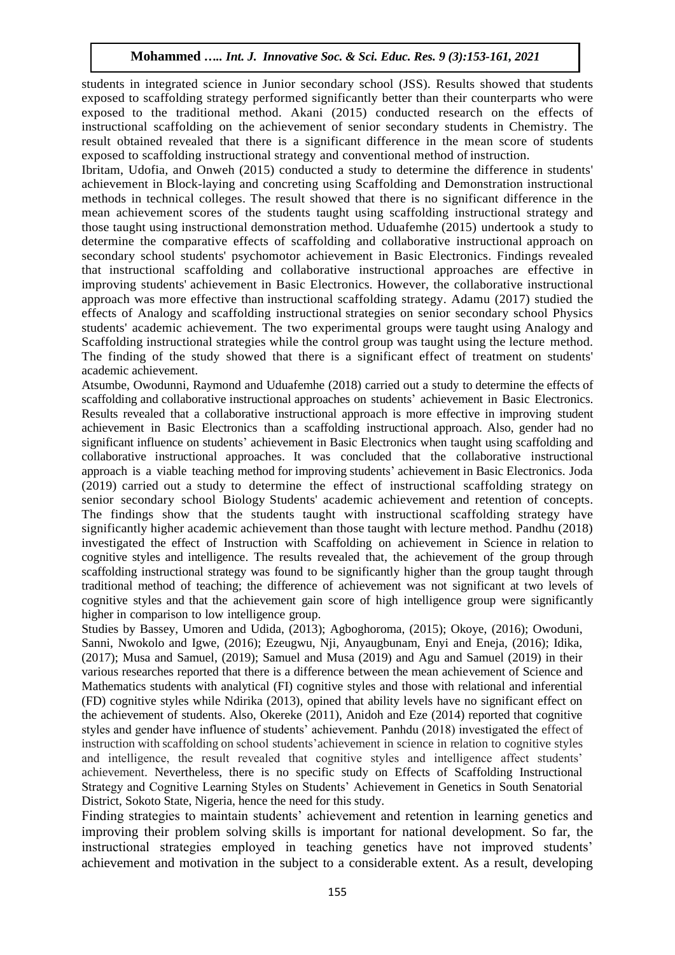students in integrated science in Junior secondary school (JSS). Results showed that students exposed to scaffolding strategy performed significantly better than their counterparts who were exposed to the traditional method. Akani (2015) conducted research on the effects of instructional scaffolding on the achievement of senior secondary students in Chemistry. The result obtained revealed that there is a significant difference in the mean score of students exposed to scaffolding instructional strategy and conventional method of instruction.

Ibritam, Udofia, and Onweh (2015) conducted a study to determine the difference in students' achievement in Block-laying and concreting using Scaffolding and Demonstration instructional methods in technical colleges. The result showed that there is no significant difference in the mean achievement scores of the students taught using scaffolding instructional strategy and those taught using instructional demonstration method. Uduafemhe (2015) undertook a study to determine the comparative effects of scaffolding and collaborative instructional approach on secondary school students' psychomotor achievement in Basic Electronics. Findings revealed that instructional scaffolding and collaborative instructional approaches are effective in improving students' achievement in Basic Electronics. However, the collaborative instructional approach was more effective than instructional scaffolding strategy. Adamu (2017) studied the effects of Analogy and scaffolding instructional strategies on senior secondary school Physics students' academic achievement. The two experimental groups were taught using Analogy and Scaffolding instructional strategies while the control group was taught using the lecture method. The finding of the study showed that there is a significant effect of treatment on students' academic achievement.

Atsumbe, Owodunni, Raymond and Uduafemhe (2018) carried out a study to determine the effects of scaffolding and collaborative instructional approaches on students' achievement in Basic Electronics. Results revealed that a collaborative instructional approach is more effective in improving student achievement in Basic Electronics than a scaffolding instructional approach. Also, gender had no significant influence on students' achievement in Basic Electronics when taught using scaffolding and collaborative instructional approaches. It was concluded that the collaborative instructional approach is a viable teaching method for improving students' achievement in Basic Electronics. Joda (2019) carried out a study to determine the effect of instructional scaffolding strategy on senior secondary school Biology Students' academic achievement and retention of concepts. The findings show that the students taught with instructional scaffolding strategy have significantly higher academic achievement than those taught with lecture method. Pandhu (2018) investigated the effect of Instruction with Scaffolding on achievement in Science in relation to cognitive styles and intelligence. The results revealed that, the achievement of the group through scaffolding instructional strategy was found to be significantly higher than the group taught through traditional method of teaching; the difference of achievement was not significant at two levels of cognitive styles and that the achievement gain score of high intelligence group were significantly higher in comparison to low intelligence group.

Studies by Bassey, Umoren and Udida, (2013); Agboghoroma, (2015); Okoye, (2016); Owoduni, Sanni, Nwokolo and Igwe, (2016); Ezeugwu, Nji, Anyaugbunam, Enyi and Eneja, (2016); Idika, (2017); Musa and Samuel, (2019); Samuel and Musa (2019) and Agu and Samuel (2019) in their various researches reported that there is a difference between the mean achievement of Science and Mathematics students with analytical (FI) cognitive styles and those with relational and inferential (FD) cognitive styles while Ndirika (2013), opined that ability levels have no significant effect on the achievement of students. Also, Okereke (2011), Anidoh and Eze (2014) reported that cognitive styles and gender have influence of students' achievement. Panhdu (2018) investigated the effect of instruction with scaffolding on school students'achievement in science in relation to cognitive styles and intelligence, the result revealed that cognitive styles and intelligence affect students' achievement. Nevertheless, there is no specific study on Effects of Scaffolding Instructional Strategy and Cognitive Learning Styles on Students' Achievement in Genetics in South Senatorial District, Sokoto State, Nigeria, hence the need for this study.

Finding strategies to maintain students' achievement and retention in learning genetics and improving their problem solving skills is important for national development. So far, the instructional strategies employed in teaching genetics have not improved students' achievement and motivation in the subject to a considerable extent. As a result, developing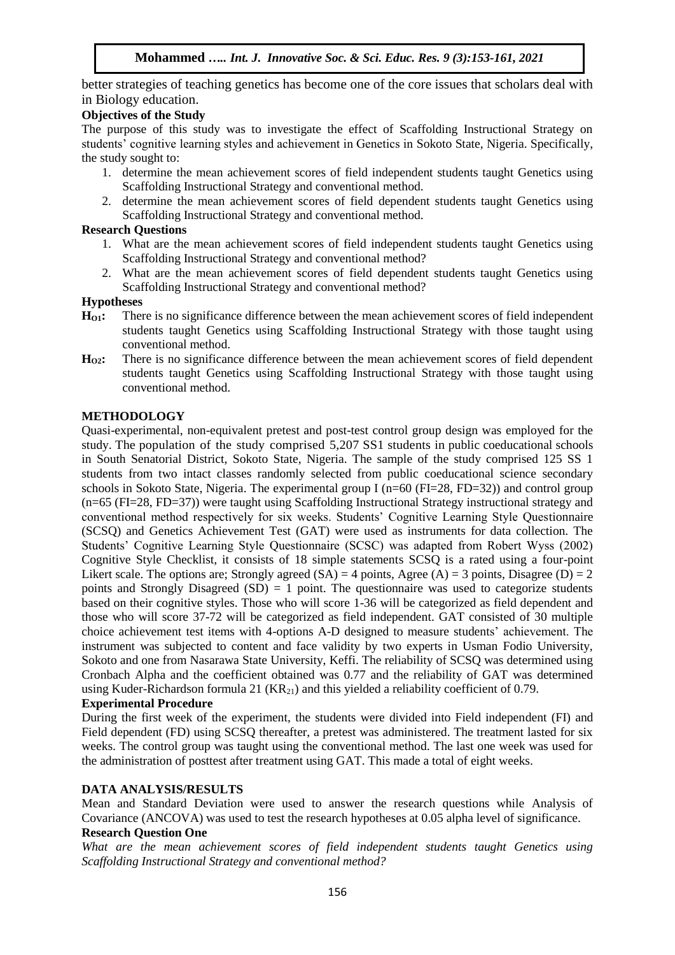better strategies of teaching genetics has become one of the core issues that scholars deal with in Biology education.

# **Objectives of the Study**

The purpose of this study was to investigate the effect of Scaffolding Instructional Strategy on students' cognitive learning styles and achievement in Genetics in Sokoto State, Nigeria. Specifically, the study sought to:

- 1. determine the mean achievement scores of field independent students taught Genetics using Scaffolding Instructional Strategy and conventional method.
- 2. determine the mean achievement scores of field dependent students taught Genetics using Scaffolding Instructional Strategy and conventional method.

## **Research Questions**

- 1. What are the mean achievement scores of field independent students taught Genetics using Scaffolding Instructional Strategy and conventional method?
- 2. What are the mean achievement scores of field dependent students taught Genetics using Scaffolding Instructional Strategy and conventional method?

## **Hypotheses**

- **HO1:** There is no significance difference between the mean achievement scores of field independent students taught Genetics using Scaffolding Instructional Strategy with those taught using conventional method.
- **HO2:** There is no significance difference between the mean achievement scores of field dependent students taught Genetics using Scaffolding Instructional Strategy with those taught using conventional method.

## **METHODOLOGY**

Quasi-experimental, non-equivalent pretest and post-test control group design was employed for the study. The population of the study comprised 5,207 SS1 students in public coeducational schools in South Senatorial District, Sokoto State, Nigeria. The sample of the study comprised 125 SS 1 students from two intact classes randomly selected from public coeducational science secondary schools in Sokoto State, Nigeria. The experimental group I (n=60 (FI=28, FD=32)) and control group (n=65 (FI=28, FD=37)) were taught using Scaffolding Instructional Strategy instructional strategy and conventional method respectively for six weeks. Students' Cognitive Learning Style Questionnaire (SCSQ) and Genetics Achievement Test (GAT) were used as instruments for data collection. The Students' Cognitive Learning Style Questionnaire (SCSC) was adapted from Robert Wyss (2002) Cognitive Style Checklist, it consists of 18 simple statements SCSQ is a rated using a four-point Likert scale. The options are; Strongly agreed  $(SA) = 4$  points, Agree  $(A) = 3$  points, Disagree  $(D) = 2$ points and Strongly Disagreed  $(SD) = 1$  point. The questionnaire was used to categorize students based on their cognitive styles. Those who will score 1-36 will be categorized as field dependent and those who will score 37-72 will be categorized as field independent. GAT consisted of 30 multiple choice achievement test items with 4-options A-D designed to measure students' achievement. The instrument was subjected to content and face validity by two experts in Usman Fodio University, Sokoto and one from Nasarawa State University, Keffi. The reliability of SCSQ was determined using Cronbach Alpha and the coefficient obtained was 0.77 and the reliability of GAT was determined using Kuder-Richardson formula 21  $(KR_{21})$  and this yielded a reliability coefficient of 0.79.

## **Experimental Procedure**

During the first week of the experiment, the students were divided into Field independent (FI) and Field dependent (FD) using SCSQ thereafter, a pretest was administered. The treatment lasted for six weeks. The control group was taught using the conventional method. The last one week was used for the administration of posttest after treatment using GAT. This made a total of eight weeks.

## **DATA ANALYSIS/RESULTS**

Mean and Standard Deviation were used to answer the research questions while Analysis of Covariance (ANCOVA) was used to test the research hypotheses at 0.05 alpha level of significance.

## **Research Question One**

*What are the mean achievement scores of field independent students taught Genetics using Scaffolding Instructional Strategy and conventional method?*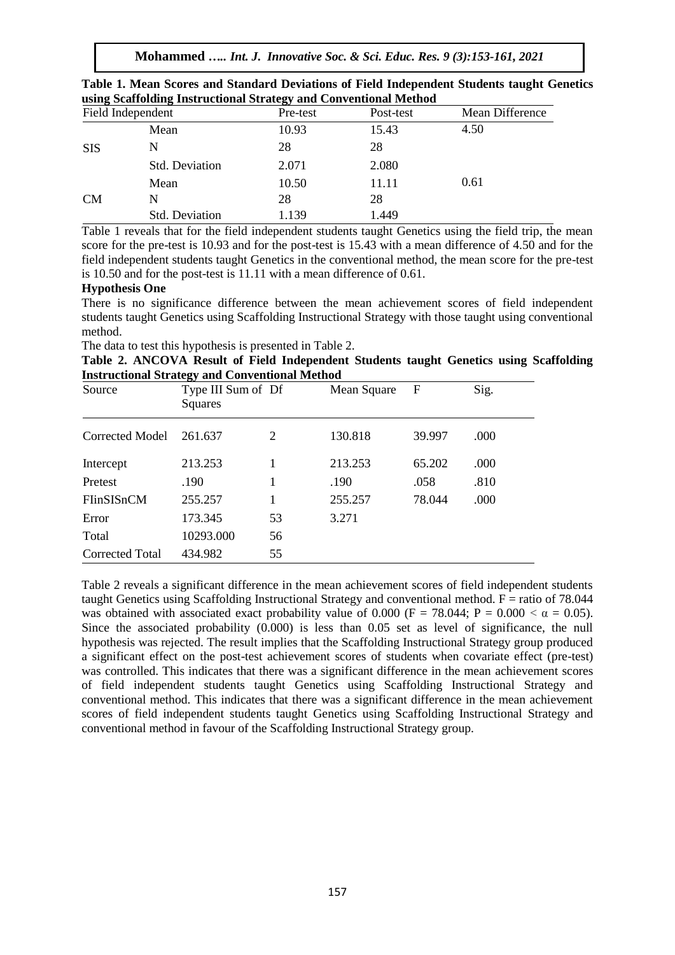**Mohammed** *….. Int. J. Innovative Soc. & Sci. Educ. Res. 9 (3):153-161, 2021*

| $\sim$<br>$\overline{\phantom{a}}$<br>Field Independent |                       | Pre-test<br>Post-test |       | Mean Difference |  |  |
|---------------------------------------------------------|-----------------------|-----------------------|-------|-----------------|--|--|
| <b>SIS</b>                                              | Mean                  | 10.93                 | 15.43 | 4.50            |  |  |
|                                                         | N                     | 28                    | 28    |                 |  |  |
|                                                         | <b>Std. Deviation</b> | 2.071                 | 2.080 |                 |  |  |
| <b>CM</b>                                               | Mean                  | 10.50                 | 11.11 | 0.61            |  |  |
|                                                         | N                     | 28                    | 28    |                 |  |  |
|                                                         | Std. Deviation        | 1.139                 | 1.449 |                 |  |  |

**Table 1. Mean Scores and Standard Deviations of Field Independent Students taught Genetics using Scaffolding Instructional Strategy and Conventional Method**

Table 1 reveals that for the field independent students taught Genetics using the field trip, the mean score for the pre-test is 10.93 and for the post-test is 15.43 with a mean difference of 4.50 and for the field independent students taught Genetics in the conventional method, the mean score for the pre-test is 10.50 and for the post-test is 11.11 with a mean difference of 0.61.

## **Hypothesis One**

There is no significance difference between the mean achievement scores of field independent students taught Genetics using Scaffolding Instructional Strategy with those taught using conventional method.

The data to test this hypothesis is presented in Table 2.

**Table 2. ANCOVA Result of Field Independent Students taught Genetics using Scaffolding Instructional Strategy and Conventional Method**

| Source                 | ອຸ<br>Type III Sum of Df<br>Squares |    | Mean Square | $\mathbf F$ | Sig. |  |
|------------------------|-------------------------------------|----|-------------|-------------|------|--|
| <b>Corrected Model</b> | 261.637                             | 2  | 130.818     | 39.997      | .000 |  |
| Intercept              | 213.253                             |    | 213.253     | 65.202      | .000 |  |
| Pretest                | .190                                |    | .190        | .058        | .810 |  |
| FIinSISnCM             | 255.257                             |    | 255.257     | 78.044      | .000 |  |
| Error                  | 173.345                             | 53 | 3.271       |             |      |  |
| Total                  | 10293.000                           | 56 |             |             |      |  |
| Corrected Total        | 434.982                             | 55 |             |             |      |  |

Table 2 reveals a significant difference in the mean achievement scores of field independent students taught Genetics using Scaffolding Instructional Strategy and conventional method.  $F =$  ratio of 78.044 was obtained with associated exact probability value of 0.000 (F = 78.044; P = 0.000  $\lt \alpha$  = 0.05). Since the associated probability (0.000) is less than 0.05 set as level of significance, the null hypothesis was rejected. The result implies that the Scaffolding Instructional Strategy group produced a significant effect on the post-test achievement scores of students when covariate effect (pre-test) was controlled. This indicates that there was a significant difference in the mean achievement scores of field independent students taught Genetics using Scaffolding Instructional Strategy and conventional method. This indicates that there was a significant difference in the mean achievement scores of field independent students taught Genetics using Scaffolding Instructional Strategy and conventional method in favour of the Scaffolding Instructional Strategy group.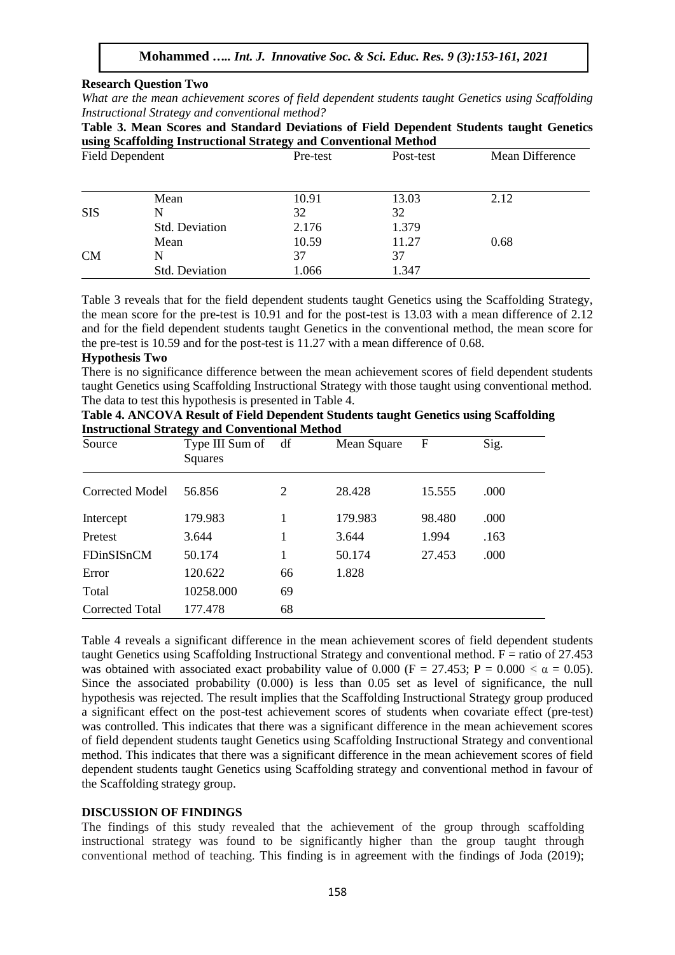#### **Research Question Two**

*What are the mean achievement scores of field dependent students taught Genetics using Scaffolding Instructional Strategy and conventional method?* 

| Table 3. Mean Scores and Standard Deviations of Field Dependent Students taught Genetics |  |  |  |  |
|------------------------------------------------------------------------------------------|--|--|--|--|
| using Scaffolding Instructional Strategy and Conventional Method                         |  |  |  |  |

| <b>Field Dependent</b> |                       | Pre-test | Post-test | Mean Difference |
|------------------------|-----------------------|----------|-----------|-----------------|
|                        |                       |          |           |                 |
|                        | Mean                  | 10.91    | 13.03     | 2.12            |
| <b>SIS</b>             | N                     | 32       | 32        |                 |
|                        | <b>Std. Deviation</b> | 2.176    | 1.379     |                 |
|                        | Mean                  | 10.59    | 11.27     | 0.68            |
| <b>CM</b>              | N                     | 37       | 37        |                 |
|                        | Std. Deviation        | 1.066    | 1.347     |                 |

Table 3 reveals that for the field dependent students taught Genetics using the Scaffolding Strategy, the mean score for the pre-test is 10.91 and for the post-test is 13.03 with a mean difference of 2.12 and for the field dependent students taught Genetics in the conventional method, the mean score for the pre-test is 10.59 and for the post-test is 11.27 with a mean difference of 0.68.

#### **Hypothesis Two**

There is no significance difference between the mean achievement scores of field dependent students taught Genetics using Scaffolding Instructional Strategy with those taught using conventional method. The data to test this hypothesis is presented in Table 4.

| Table 4. ANCOVA Result of Field Dependent Students taught Genetics using Scaffolding |
|--------------------------------------------------------------------------------------|
| <b>Instructional Strategy and Conventional Method</b>                                |

| Source          | Type III Sum of<br>Squares | df             | Mean Square | F      | Sig. |
|-----------------|----------------------------|----------------|-------------|--------|------|
| Corrected Model | 56.856                     | $\overline{2}$ | 28.428      | 15.555 | .000 |
| Intercept       | 179.983                    |                | 179.983     | 98.480 | .000 |
| Pretest         | 3.644                      | 1              | 3.644       | 1.994  | .163 |
| FDinSISnCM      | 50.174                     |                | 50.174      | 27.453 | .000 |
| Error           | 120.622                    | 66             | 1.828       |        |      |
| Total           | 10258.000                  | 69             |             |        |      |
| Corrected Total | 177.478                    | 68             |             |        |      |

Table 4 reveals a significant difference in the mean achievement scores of field dependent students taught Genetics using Scaffolding Instructional Strategy and conventional method.  $F =$  ratio of 27.453 was obtained with associated exact probability value of 0.000 (F = 27.453; P = 0.000  $\lt \alpha$  = 0.05). Since the associated probability (0.000) is less than 0.05 set as level of significance, the null hypothesis was rejected. The result implies that the Scaffolding Instructional Strategy group produced a significant effect on the post-test achievement scores of students when covariate effect (pre-test) was controlled. This indicates that there was a significant difference in the mean achievement scores of field dependent students taught Genetics using Scaffolding Instructional Strategy and conventional method. This indicates that there was a significant difference in the mean achievement scores of field dependent students taught Genetics using Scaffolding strategy and conventional method in favour of the Scaffolding strategy group.

#### **DISCUSSION OF FINDINGS**

The findings of this study revealed that the achievement of the group through scaffolding instructional strategy was found to be significantly higher than the group taught through conventional method of teaching. This finding is in agreement with the findings of Joda (2019);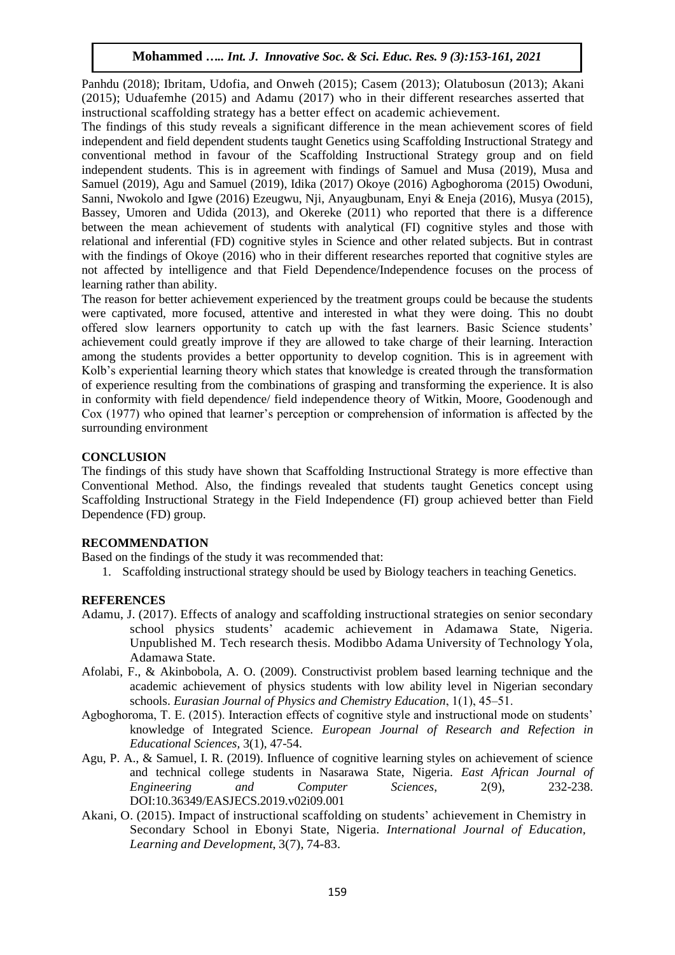Panhdu (2018); Ibritam, Udofia, and Onweh (2015); Casem (2013); Olatubosun (2013); Akani (2015); Uduafemhe (2015) and Adamu (2017) who in their different researches asserted that instructional scaffolding strategy has a better effect on academic achievement.

The findings of this study reveals a significant difference in the mean achievement scores of field independent and field dependent students taught Genetics using Scaffolding Instructional Strategy and conventional method in favour of the Scaffolding Instructional Strategy group and on field independent students. This is in agreement with findings of Samuel and Musa (2019), Musa and Samuel (2019), Agu and Samuel (2019), Idika (2017) Okoye (2016) Agboghoroma (2015) Owoduni, Sanni, Nwokolo and Igwe (2016) Ezeugwu, Nji, Anyaugbunam, Enyi & Eneja (2016), Musya (2015), Bassey, Umoren and Udida (2013), and Okereke (2011) who reported that there is a difference between the mean achievement of students with analytical (FI) cognitive styles and those with relational and inferential (FD) cognitive styles in Science and other related subjects. But in contrast with the findings of Okoye (2016) who in their different researches reported that cognitive styles are not affected by intelligence and that Field Dependence/Independence focuses on the process of learning rather than ability.

The reason for better achievement experienced by the treatment groups could be because the students were captivated, more focused, attentive and interested in what they were doing. This no doubt offered slow learners opportunity to catch up with the fast learners. Basic Science students' achievement could greatly improve if they are allowed to take charge of their learning. Interaction among the students provides a better opportunity to develop cognition. This is in agreement with Kolb's experiential learning theory which states that knowledge is created through the transformation of experience resulting from the combinations of grasping and transforming the experience. It is also in conformity with field dependence/ field independence theory of Witkin, Moore, Goodenough and Cox (1977) who opined that learner's perception or comprehension of information is affected by the surrounding environment

## **CONCLUSION**

The findings of this study have shown that Scaffolding Instructional Strategy is more effective than Conventional Method. Also, the findings revealed that students taught Genetics concept using Scaffolding Instructional Strategy in the Field Independence (FI) group achieved better than Field Dependence (FD) group.

## **RECOMMENDATION**

Based on the findings of the study it was recommended that:

1. Scaffolding instructional strategy should be used by Biology teachers in teaching Genetics.

# **REFERENCES**

- Adamu, J. (2017). Effects of analogy and scaffolding instructional strategies on senior secondary school physics students' academic achievement in Adamawa State, Nigeria. Unpublished M. Tech research thesis. Modibbo Adama University of Technology Yola, Adamawa State.
- Afolabi, F., & Akinbobola, A. O. (2009). Constructivist problem based learning technique and the academic achievement of physics students with low ability level in Nigerian secondary schools. *Eurasian Journal of Physics and Chemistry Education*, 1(1), 45–51.
- Agboghoroma, T. E. (2015). Interaction effects of cognitive style and instructional mode on students' knowledge of Integrated Science. *European Journal of Research and Refection in Educational Sciences,* 3(1), 47-54.
- Agu, P. A., & Samuel, I. R. (2019). Influence of cognitive learning styles on achievement of science and technical college students in Nasarawa State, Nigeria. *East African Journal of Engineering and Computer Sciences*, 2(9), 232-238. DOI:10.36349/EASJECS.2019.v02i09.001
- Akani, O. (2015). Impact of instructional scaffolding on students' achievement in Chemistry in Secondary School in Ebonyi State, Nigeria. *International Journal of Education, Learning and Development*, 3(7), 74-83.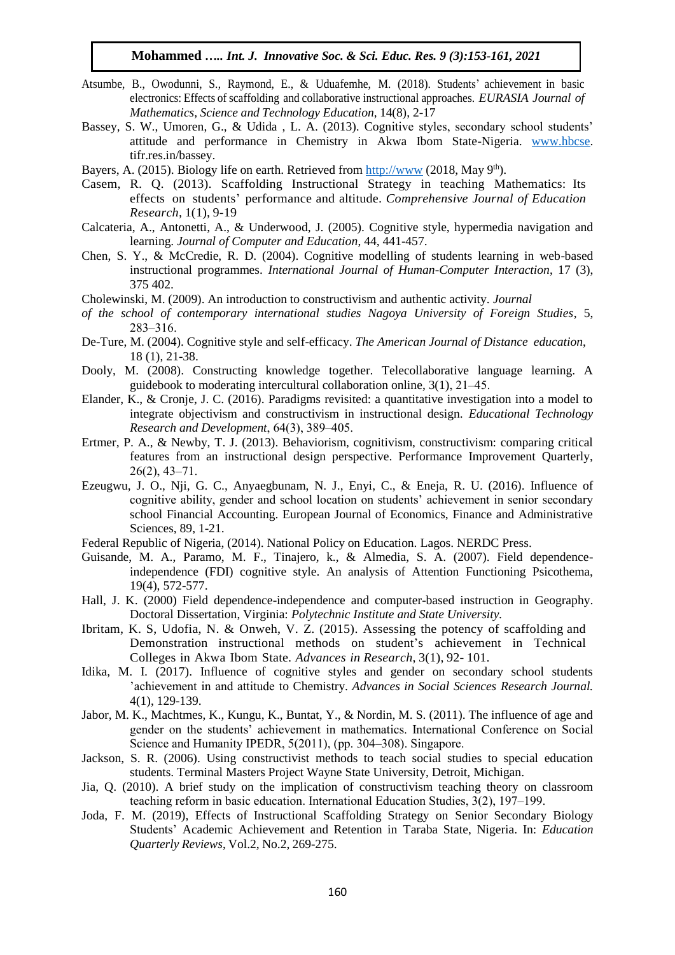- Atsumbe, B., Owodunni, S., Raymond, E., & Uduafemhe, M. (2018). Students' achievement in basic electronics: Effects of scaffolding and collaborative instructional approaches. *EURASIA Journal of Mathematics, Science and Technology Education*, 14(8), 2-17
- Bassey, S. W., Umoren, G., & Udida , L. A. (2013). Cognitive styles, secondary school students' attitude and performance in Chemistry in Akwa Ibom State-Nigeria. [www.hbcse.](http://www.hbcse/) tifr.res.in/bassey.
- Bayers, A. (2015). Biology life on earth. Retrieved from [http://www](http://www/). (2018, May 9<sup>th</sup>).
- Casem, R. Q. (2013). Scaffolding Instructional Strategy in teaching Mathematics: Its effects on students' performance and altitude. *Comprehensive Journal of Education Research,* 1(1), 9-19
- Calcateria, A., Antonetti, A., & Underwood, J. (2005). Cognitive style, hypermedia navigation and learning. *Journal of Computer and Education*, 44, 441-457.
- Chen, S. Y., & McCredie, R. D. (2004). Cognitive modelling of students learning in web-based instructional programmes. *International Journal of Human-Computer Interaction*, 17 (3), 375 402.
- Cholewinski, M. (2009). An introduction to constructivism and authentic activity. *Journal*
- *of the school of contemporary international studies Nagoya University of Foreign Studies*, 5, 283‒316.
- De-Ture, M. (2004). Cognitive style and self-efficacy. *The American Journal of Distance education*, 18 (1), 21-38.
- Dooly, M. (2008). Constructing knowledge together. Telecollaborative language learning. A guidebook to moderating intercultural collaboration online,  $3(1)$ ,  $21-45$ .
- Elander, K., & Cronje, J. C. (2016). Paradigms revisited: a quantitative investigation into a model to integrate objectivism and constructivism in instructional design. *Educational Technology Research and Development*, 64(3), 389-405.
- Ertmer, P. A., & Newby, T. J. (2013). Behaviorism, cognitivism, constructivism: comparing critical features from an instructional design perspective. Performance Improvement Quarterly,  $26(2)$ ,  $43-71$ .
- Ezeugwu, J. O., Nji, G. C., Anyaegbunam, N. J., Enyi, C., & Eneja, R. U. (2016). Influence of cognitive ability, gender and school location on students' achievement in senior secondary school Financial Accounting. European Journal of Economics, Finance and Administrative Sciences, 89, 1-21.
- Federal Republic of Nigeria, (2014). National Policy on Education. Lagos. NERDC Press.
- Guisande, M. A., Paramo, M. F., Tinajero, k., & Almedia, S. A. (2007). Field dependenceindependence (FDI) cognitive style. An analysis of Attention Functioning Psicothema, 19(4), 572-577.
- Hall, J. K. (2000) Field dependence-independence and computer-based instruction in Geography. Doctoral Dissertation, Virginia: *Polytechnic Institute and State University.*
- Ibritam, K. S, Udofia, N. & Onweh, V. Z. (2015). Assessing the potency of scaffolding and Demonstration instructional methods on student's achievement in Technical Colleges in Akwa Ibom State. *Advances in Research*, 3(1), 92- 101.
- Idika, M. I. (2017). Influence of cognitive styles and gender on secondary school students 'achievement in and attitude to Chemistry. *Advances in Social Sciences Research Journal.* 4(1), 129-139.
- Jabor, M. K., Machtmes, K., Kungu, K., Buntat, Y., & Nordin, M. S. (2011). The influence of age and gender on the students' achievement in mathematics. International Conference on Social Science and Humanity IPEDR, 5(2011), (pp. 304–308). Singapore.
- Jackson, S. R. (2006). Using constructivist methods to teach social studies to special education students. Terminal Masters Project Wayne State University, Detroit, Michigan.
- Jia, Q. (2010). A brief study on the implication of constructivism teaching theory on classroom teaching reform in basic education. International Education Studies, 3(2), 197–199.
- Joda, F. M. (2019), Effects of Instructional Scaffolding Strategy on Senior Secondary Biology Students' Academic Achievement and Retention in Taraba State, Nigeria. In: *Education Quarterly Reviews*, Vol.2, No.2, 269-275.